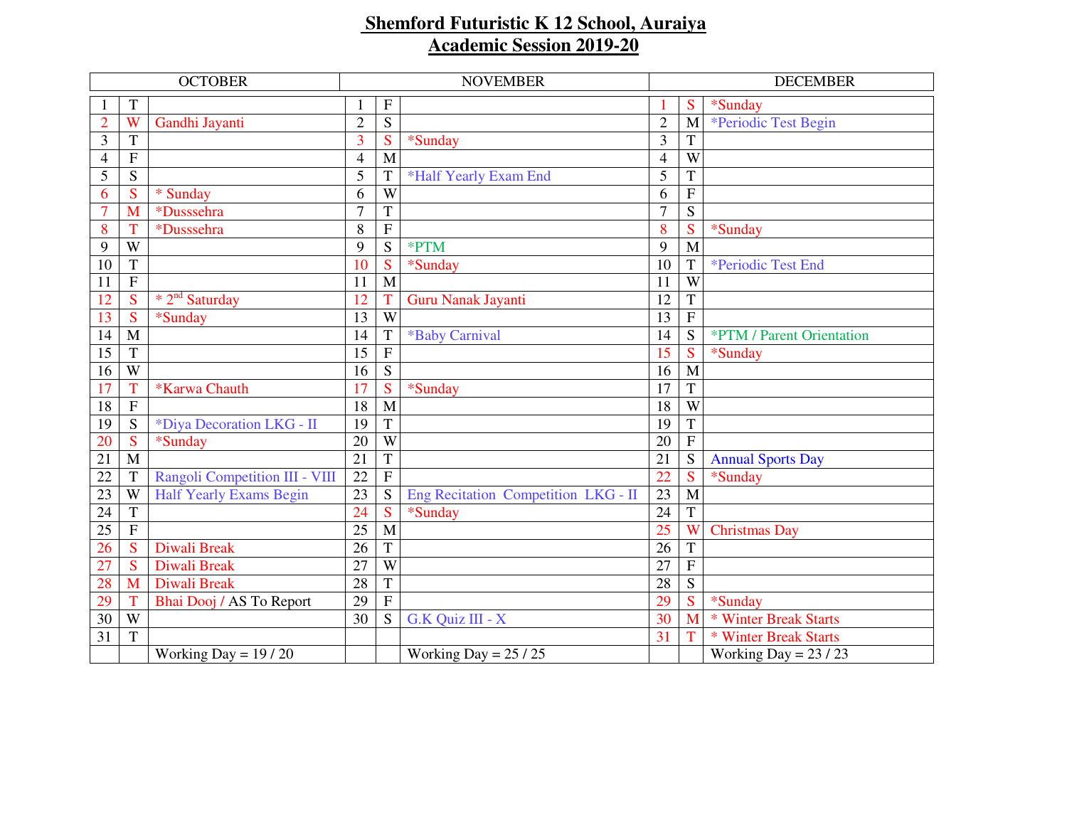## **Shemford Futuristic K 12 School, Auraiya Academic Session 2019-20**

| <b>OCTOBER</b> |                         |                                | <b>NOVEMBER</b> |                |                                     |                | <b>DECEMBER</b> |                           |  |
|----------------|-------------------------|--------------------------------|-----------------|----------------|-------------------------------------|----------------|-----------------|---------------------------|--|
|                | T                       |                                |                 | $\mathbf F$    |                                     |                | S               | *Sunday                   |  |
| $\overline{2}$ | $\overline{\mathbf{W}}$ | Gandhi Jayanti                 | $\overline{2}$  | $\overline{S}$ |                                     | $\overline{2}$ | M               | *Periodic Test Begin      |  |
| 3              | T                       |                                | 3               | S              | *Sunday                             | 3              | T               |                           |  |
| 4              | $\overline{\mathrm{F}}$ |                                | $\overline{4}$  | M              |                                     | $\overline{4}$ | $\overline{W}$  |                           |  |
| 5              | S                       |                                | 5               | T              | *Half Yearly Exam End               | 5              | T               |                           |  |
| 6              | S                       | * Sunday                       | 6               | W              |                                     | 6              | ${\bf F}$       |                           |  |
| $\overline{7}$ | M                       | *Dusssehra                     | $\overline{7}$  | $\overline{T}$ |                                     | $\overline{7}$ | S               |                           |  |
| 8              |                         | *Dusssehra                     | 8               | $\mathbf F$    |                                     | 8              | S               | *Sunday                   |  |
| 9              | W                       |                                | 9               | S              | *PTM                                | 9              | M               |                           |  |
| 10             | $\mathbf T$             |                                | 10              | S              | *Sunday                             | 10             | T               | *Periodic Test End        |  |
| 11             | $\overline{F}$          |                                | 11              | M              |                                     | 11             | W               |                           |  |
| 12             | S                       | $*2nd$ Saturday                | 12              | T              | Guru Nanak Jayanti                  | 12             | T               |                           |  |
| 13             | S                       | *Sunday                        | 13              | W              |                                     | 13             | $\mathbf{F}$    |                           |  |
| 14             | $\mathbf{M}$            |                                | 14              | $\mathbf T$    | *Baby Carnival                      | 14             | S               | *PTM / Parent Orientation |  |
| 15             | $\overline{T}$          |                                | 15              | $\overline{F}$ |                                     | 15             | S               | *Sunday                   |  |
| 16             | W                       |                                | 16              | S              |                                     | 16             | M               |                           |  |
| 17             | Ť                       | *Karwa Chauth                  | 17              | S              | *Sunday                             | 17             | T               |                           |  |
| 18             | ${\bf F}$               |                                | 18              | M              |                                     | 18             | W               |                           |  |
| 19             | S                       | *Diya Decoration LKG - II      | 19              | T              |                                     | 19             | T               |                           |  |
| 20             | S                       | *Sunday                        | 20              | W              |                                     | 20             | $\overline{F}$  |                           |  |
| 21             | M                       |                                | $\overline{21}$ | $\overline{T}$ |                                     | 21             | S               | <b>Annual Sports Day</b>  |  |
| 22             | T                       | Rangoli Competition III - VIII | 22              | $\mathbf{F}$   |                                     | 22             | S               | *Sunday                   |  |
| 23             | W                       | <b>Half Yearly Exams Begin</b> | 23              | S              | Eng Recitation Competition LKG - II | 23             | M               |                           |  |
| 24             | $\mathbf T$             |                                | 24              | S              | *Sunday                             | 24             | T               |                           |  |
| 25             | $\overline{F}$          |                                | 25              | M              |                                     | 25             | W               | <b>Christmas Day</b>      |  |
| 26             | S                       | Diwali Break                   | 26              | $\mathbf T$    |                                     | 26             | T               |                           |  |
| 27             | $\overline{\mathbf{S}}$ | Diwali Break                   | 27              | W              |                                     | 27             | ${\bf F}$       |                           |  |
| 28             | M                       | Diwali Break                   | 28              | $\mathbf T$    |                                     | 28             | S               |                           |  |
| 29             | T                       | Bhai Dooj / AS To Report       | 29              | $\mathbf F$    |                                     | 29             | S               | *Sunday                   |  |
| 30             | $\overline{W}$          |                                | 30              | S              | G.K Quiz III - X                    | 30             | M               | * Winter Break Starts     |  |
| 31             | T                       |                                |                 |                |                                     | 31             | т               | * Winter Break Starts     |  |
|                |                         | Working Day = $19/20$          |                 |                | Working Day = $25/25$               |                |                 | Working Day = $23 / 23$   |  |